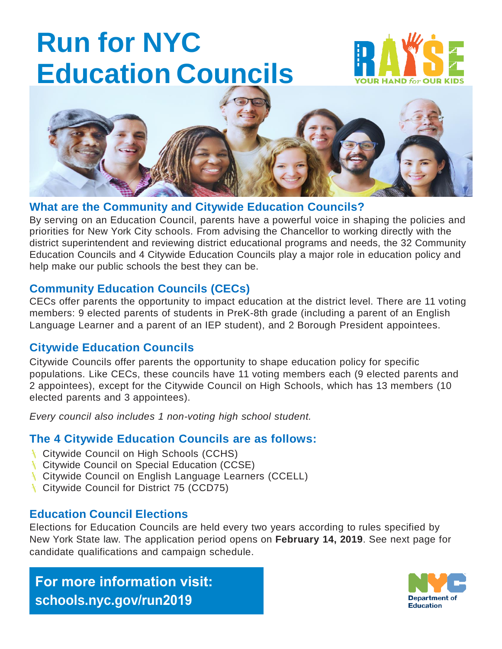# **Run for NYC Education Councils**





#### **What are the Community and Citywide Education Councils?**

By serving on an Education Council, parents have a powerful voice in shaping the policies and priorities for New York City schools. From advising the Chancellor to working directly with the district superintendent and reviewing district educational programs and needs, the 32 Community Education Councils and 4 Citywide Education Councils play a major role in education policy and help make our public schools the best they can be.

#### **Community Education Councils (CECs)**

CECs offer parents the opportunity to impact education at the district level. There are 11 voting members: 9 elected parents of students in PreK-8th grade (including a parent of an English Language Learner and a parent of an IEP student), and 2 Borough President appointees.

#### **Citywide Education Councils**

Citywide Councils offer parents the opportunity to shape education policy for specific populations. Like CECs, these councils have 11 voting members each (9 elected parents and 2 appointees), except for the Citywide Council on High Schools, which has 13 members (10 elected parents and 3 appointees).

*Every council also includes 1 non-voting high school student.*

#### **The 4 Citywide Education Councils are as follows:**

- **Citywide Council on High Schools (CCHS)**
- **Citywide Council on Special Education (CCSE)**
- **Citywide Council on English Language Learners (CCELL)**
- **Citywide Council for District 75 (CCD75)**

#### **Education Council Elections**

Elections for Education Councils are held every two years according to rules specified by New York State law. The application period opens on **February 14, 2019**. See next page for candidate qualifications and campaign schedule.

### **For more information visit: [schools.nyc.gov](mailto:Elections2019@schools.nyc.gov)/run2019**